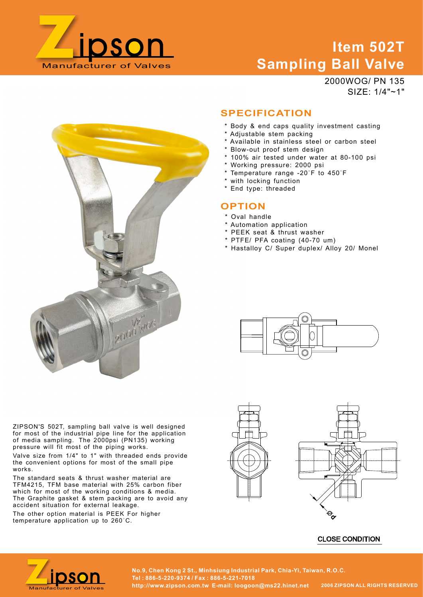

# Item 502T Sampling Ball Valve **Exampling Ball Valve**<br> **Sampling Ball Valve**<br>  $2000WOG/PN 135$ <br>  $SIZE: 1/4"~1"$ <br>  $SPECIFICATION$ <br>  $*$  Body & end caps quality investment casting<br>  $*$  Adjustable sime packing<br>  $*$  Avaliable in stainless steel or carbon steel<br>  $*$  Bl

2000WOG/ PN 135 SIZE: 1/4"~1"

# **SPECIFICATION**

- \* Body & end caps quality investment casting
- \* Adjustable stem packing
- \* Available in stainless steel or carbon steel
- \* Blow-out proof stem design
- \* 100% air tested under water at 80-100 psi
- \* Working pressure: 2000 psi
- 
- \* with locking function
- \* End type: threaded

# **OPTION**

- \* Oval handle
- \* Automation application
- \* PEEK seat & thrust washer
- \* PTFE/ PFA coating (40-70 um)
- \* Hastalloy C/ Super duplex/ Alloy 20/ Monel





Valve size from 1/4" to 1" with threaded ends provide the convenient options for most of the small pipe works.

The standard seats & thrust washer material are TFM4215, TFM base material with 25% carbon fiber which for most of the working conditions & media.<br>The Graphite gasket & stem packing are to avoid any accident situation for external leakage.

The other option material is PEEK For higher







No.9, Chen Kong 2 St., Minhsiung Industrial Park, Chia-Yi, Taiwan, R.O.C.<br>Tel: 886-5-220-9374 / Fax : 886-5-221-7018<br>Manufacturer of Valves http://www.zipson.com.tw E-mail: loogoon@ms22.hinet.net 2006 ZIPSON ALL RIGHTS RES Tel : 886-5-220-9374 / Fax : 886-5-221-7018 http://www.zipson.com.tw E-mail: loogoon@ms22.hinet.net